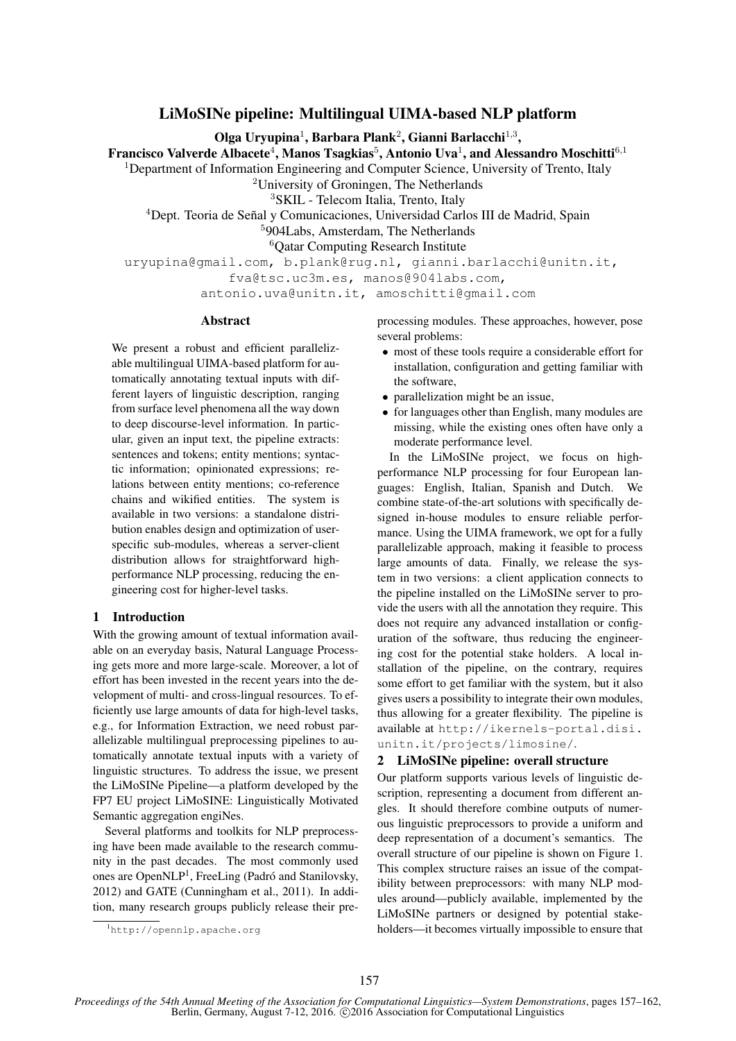# LiMoSINe pipeline: Multilingual UIMA-based NLP platform

Olga Uryupina<sup>1</sup>, Barbara Plank<sup>2</sup>, Gianni Barlacchi<sup>1,3</sup>,

Francisco Valverde Albacete $^4$ , Manos Tsagkias $^5$ , Antonio Uva $^1$ , and Alessandro Moschitti $^{6,1}$ 

<sup>1</sup>Department of Information Engineering and Computer Science, University of Trento, Italy

<sup>2</sup>University of Groningen, The Netherlands

<sup>3</sup>SKIL - Telecom Italia, Trento, Italy

<sup>4</sup>Dept. Teoria de Señal y Comunicaciones, Universidad Carlos III de Madrid, Spain

<sup>5</sup>904Labs, Amsterdam, The Netherlands

<sup>6</sup>Qatar Computing Research Institute

uryupina@gmail.com, b.plank@rug.nl, gianni.barlacchi@unitn.it, fva@tsc.uc3m.es, manos@904labs.com,

antonio.uva@unitn.it, amoschitti@gmail.com

# Abstract

We present a robust and efficient parallelizable multilingual UIMA-based platform for automatically annotating textual inputs with different layers of linguistic description, ranging from surface level phenomena all the way down to deep discourse-level information. In particular, given an input text, the pipeline extracts: sentences and tokens; entity mentions; syntactic information; opinionated expressions; relations between entity mentions; co-reference chains and wikified entities. The system is available in two versions: a standalone distribution enables design and optimization of userspecific sub-modules, whereas a server-client distribution allows for straightforward highperformance NLP processing, reducing the engineering cost for higher-level tasks.

### 1 Introduction

With the growing amount of textual information available on an everyday basis, Natural Language Processing gets more and more large-scale. Moreover, a lot of effort has been invested in the recent years into the development of multi- and cross-lingual resources. To efficiently use large amounts of data for high-level tasks, e.g., for Information Extraction, we need robust parallelizable multilingual preprocessing pipelines to automatically annotate textual inputs with a variety of linguistic structures. To address the issue, we present the LiMoSINe Pipeline—a platform developed by the FP7 EU project LiMoSINE: Linguistically Motivated Semantic aggregation engiNes.

Several platforms and toolkits for NLP preprocessing have been made available to the research community in the past decades. The most commonly used ones are OpenNLP<sup>1</sup>, FreeLing (Padró and Stanilovsky, 2012) and GATE (Cunningham et al., 2011). In addition, many research groups publicly release their preprocessing modules. These approaches, however, pose several problems:

- most of these tools require a considerable effort for installation, configuration and getting familiar with the software,
- parallelization might be an issue,
- for languages other than English, many modules are missing, while the existing ones often have only a moderate performance level.

In the LiMoSINe project, we focus on highperformance NLP processing for four European languages: English, Italian, Spanish and Dutch. We combine state-of-the-art solutions with specifically designed in-house modules to ensure reliable performance. Using the UIMA framework, we opt for a fully parallelizable approach, making it feasible to process large amounts of data. Finally, we release the system in two versions: a client application connects to the pipeline installed on the LiMoSINe server to provide the users with all the annotation they require. This does not require any advanced installation or configuration of the software, thus reducing the engineering cost for the potential stake holders. A local installation of the pipeline, on the contrary, requires some effort to get familiar with the system, but it also gives users a possibility to integrate their own modules, thus allowing for a greater flexibility. The pipeline is available at http://ikernels-portal.disi. unitn.it/projects/limosine/.

### 2 LiMoSINe pipeline: overall structure

Our platform supports various levels of linguistic description, representing a document from different angles. It should therefore combine outputs of numerous linguistic preprocessors to provide a uniform and deep representation of a document's semantics. The overall structure of our pipeline is shown on Figure 1. This complex structure raises an issue of the compatibility between preprocessors: with many NLP modules around—publicly available, implemented by the LiMoSINe partners or designed by potential stakeholders—it becomes virtually impossible to ensure that

<sup>1</sup>http://opennlp.apache.org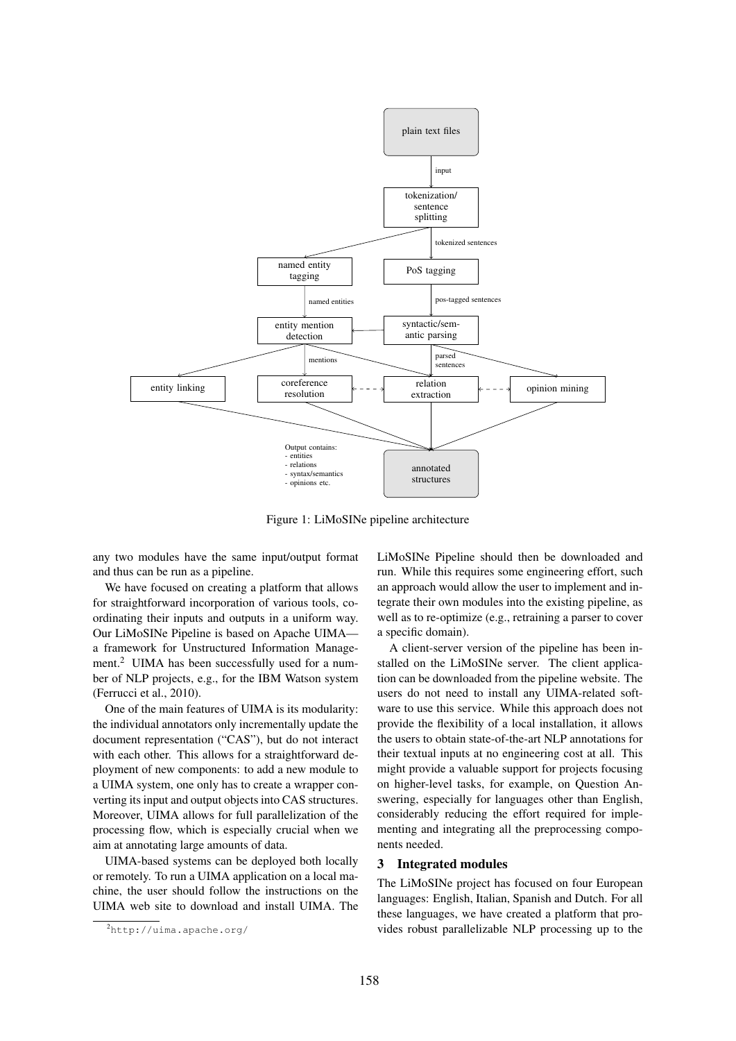

Figure 1: LiMoSINe pipeline architecture

any two modules have the same input/output format and thus can be run as a pipeline.

We have focused on creating a platform that allows for straightforward incorporation of various tools, coordinating their inputs and outputs in a uniform way. Our LiMoSINe Pipeline is based on Apache UIMA a framework for Unstructured Information Management.<sup>2</sup> UIMA has been successfully used for a number of NLP projects, e.g., for the IBM Watson system (Ferrucci et al., 2010).

One of the main features of UIMA is its modularity: the individual annotators only incrementally update the document representation ("CAS"), but do not interact with each other. This allows for a straightforward deployment of new components: to add a new module to a UIMA system, one only has to create a wrapper converting its input and output objects into CAS structures. Moreover, UIMA allows for full parallelization of the processing flow, which is especially crucial when we aim at annotating large amounts of data.

UIMA-based systems can be deployed both locally or remotely. To run a UIMA application on a local machine, the user should follow the instructions on the UIMA web site to download and install UIMA. The LiMoSINe Pipeline should then be downloaded and run. While this requires some engineering effort, such an approach would allow the user to implement and integrate their own modules into the existing pipeline, as well as to re-optimize (e.g., retraining a parser to cover a specific domain).

A client-server version of the pipeline has been installed on the LiMoSINe server. The client application can be downloaded from the pipeline website. The users do not need to install any UIMA-related software to use this service. While this approach does not provide the flexibility of a local installation, it allows the users to obtain state-of-the-art NLP annotations for their textual inputs at no engineering cost at all. This might provide a valuable support for projects focusing on higher-level tasks, for example, on Question Answering, especially for languages other than English, considerably reducing the effort required for implementing and integrating all the preprocessing components needed.

#### 3 Integrated modules

The LiMoSINe project has focused on four European languages: English, Italian, Spanish and Dutch. For all these languages, we have created a platform that provides robust parallelizable NLP processing up to the

<sup>2</sup>http://uima.apache.org/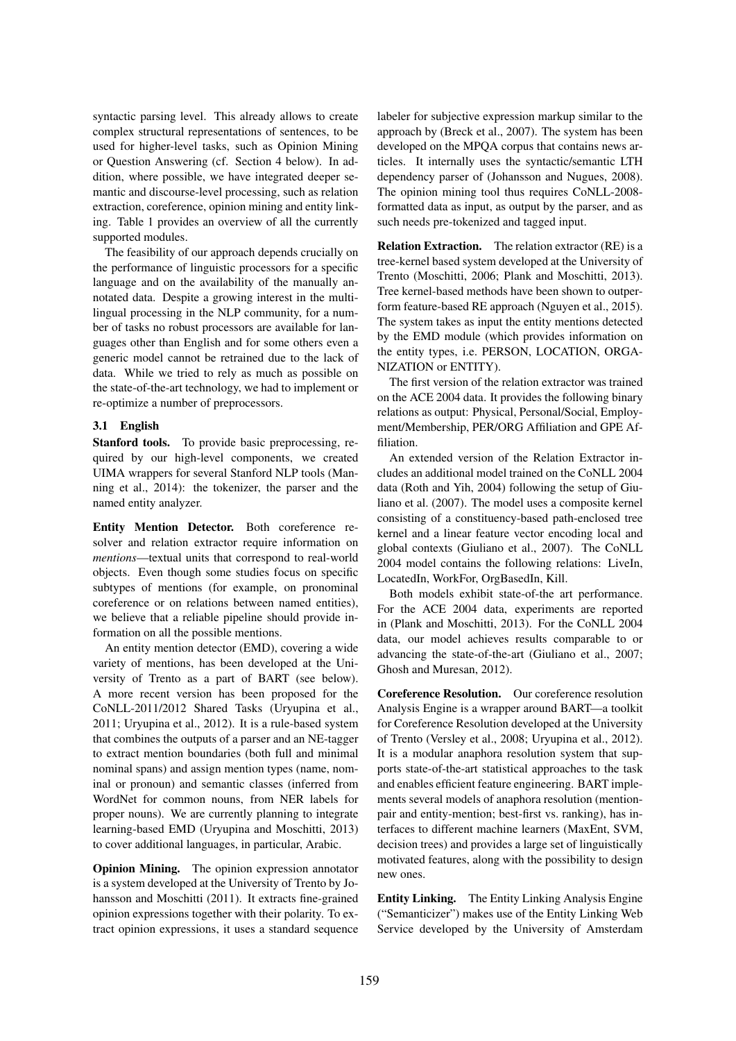syntactic parsing level. This already allows to create complex structural representations of sentences, to be used for higher-level tasks, such as Opinion Mining or Question Answering (cf. Section 4 below). In addition, where possible, we have integrated deeper semantic and discourse-level processing, such as relation extraction, coreference, opinion mining and entity linking. Table 1 provides an overview of all the currently supported modules.

The feasibility of our approach depends crucially on the performance of linguistic processors for a specific language and on the availability of the manually annotated data. Despite a growing interest in the multilingual processing in the NLP community, for a number of tasks no robust processors are available for languages other than English and for some others even a generic model cannot be retrained due to the lack of data. While we tried to rely as much as possible on the state-of-the-art technology, we had to implement or re-optimize a number of preprocessors.

### 3.1 English

Stanford tools. To provide basic preprocessing, required by our high-level components, we created UIMA wrappers for several Stanford NLP tools (Manning et al., 2014): the tokenizer, the parser and the named entity analyzer.

Entity Mention Detector. Both coreference resolver and relation extractor require information on *mentions*—textual units that correspond to real-world objects. Even though some studies focus on specific subtypes of mentions (for example, on pronominal coreference or on relations between named entities), we believe that a reliable pipeline should provide information on all the possible mentions.

An entity mention detector (EMD), covering a wide variety of mentions, has been developed at the University of Trento as a part of BART (see below). A more recent version has been proposed for the CoNLL-2011/2012 Shared Tasks (Uryupina et al., 2011; Uryupina et al., 2012). It is a rule-based system that combines the outputs of a parser and an NE-tagger to extract mention boundaries (both full and minimal nominal spans) and assign mention types (name, nominal or pronoun) and semantic classes (inferred from WordNet for common nouns, from NER labels for proper nouns). We are currently planning to integrate learning-based EMD (Uryupina and Moschitti, 2013) to cover additional languages, in particular, Arabic.

Opinion Mining. The opinion expression annotator is a system developed at the University of Trento by Johansson and Moschitti (2011). It extracts fine-grained opinion expressions together with their polarity. To extract opinion expressions, it uses a standard sequence

labeler for subjective expression markup similar to the approach by (Breck et al., 2007). The system has been developed on the MPQA corpus that contains news articles. It internally uses the syntactic/semantic LTH dependency parser of (Johansson and Nugues, 2008). The opinion mining tool thus requires CoNLL-2008 formatted data as input, as output by the parser, and as such needs pre-tokenized and tagged input.

Relation Extraction. The relation extractor (RE) is a tree-kernel based system developed at the University of Trento (Moschitti, 2006; Plank and Moschitti, 2013). Tree kernel-based methods have been shown to outperform feature-based RE approach (Nguyen et al., 2015). The system takes as input the entity mentions detected by the EMD module (which provides information on the entity types, i.e. PERSON, LOCATION, ORGA-NIZATION or ENTITY).

The first version of the relation extractor was trained on the ACE 2004 data. It provides the following binary relations as output: Physical, Personal/Social, Employment/Membership, PER/ORG Affiliation and GPE Affiliation.

An extended version of the Relation Extractor includes an additional model trained on the CoNLL 2004 data (Roth and Yih, 2004) following the setup of Giuliano et al. (2007). The model uses a composite kernel consisting of a constituency-based path-enclosed tree kernel and a linear feature vector encoding local and global contexts (Giuliano et al., 2007). The CoNLL 2004 model contains the following relations: LiveIn, LocatedIn, WorkFor, OrgBasedIn, Kill.

Both models exhibit state-of-the art performance. For the ACE 2004 data, experiments are reported in (Plank and Moschitti, 2013). For the CoNLL 2004 data, our model achieves results comparable to or advancing the state-of-the-art (Giuliano et al., 2007; Ghosh and Muresan, 2012).

Coreference Resolution. Our coreference resolution Analysis Engine is a wrapper around BART—a toolkit for Coreference Resolution developed at the University of Trento (Versley et al., 2008; Uryupina et al., 2012). It is a modular anaphora resolution system that supports state-of-the-art statistical approaches to the task and enables efficient feature engineering. BART implements several models of anaphora resolution (mentionpair and entity-mention; best-first vs. ranking), has interfaces to different machine learners (MaxEnt, SVM, decision trees) and provides a large set of linguistically motivated features, along with the possibility to design new ones.

Entity Linking. The Entity Linking Analysis Engine ("Semanticizer") makes use of the Entity Linking Web Service developed by the University of Amsterdam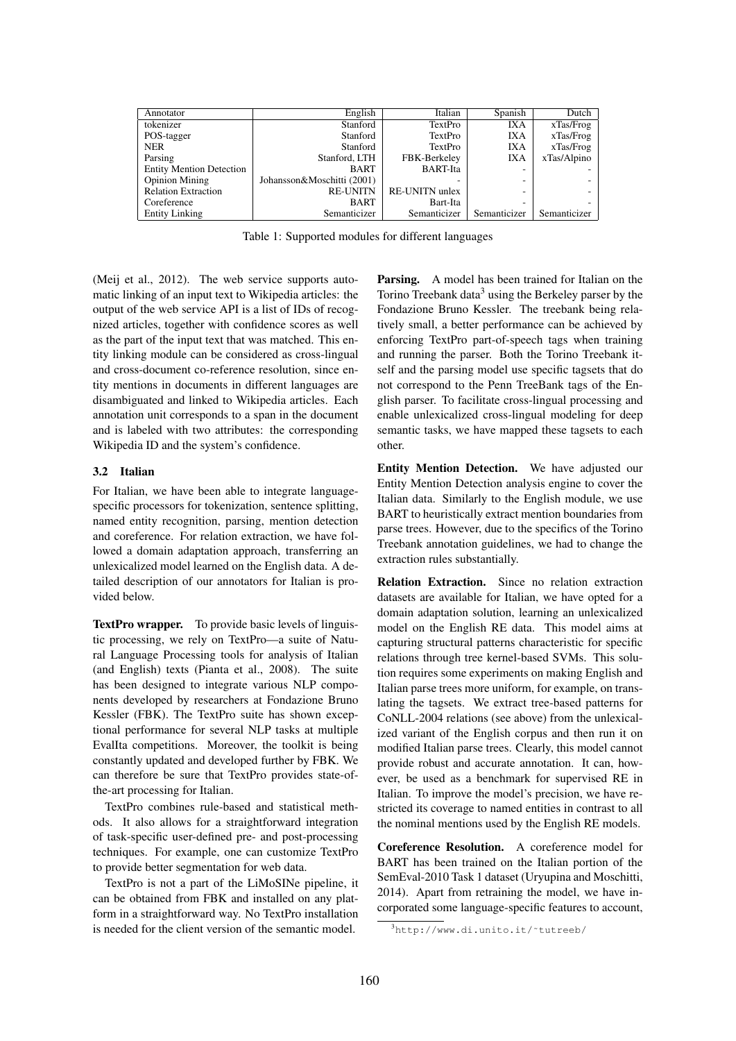| Annotator                       | English                    | Italian               | Spanish      | Dutch        |
|---------------------------------|----------------------------|-----------------------|--------------|--------------|
| tokenizer                       | Stanford                   | TextPro               | IXA          | xTas/Frog    |
| POS-tagger                      | Stanford                   | TextPro               | IXA          | xTas/Frog    |
| <b>NER</b>                      | Stanford                   | TextPro               | IXA          | xTas/Frog    |
| Parsing                         | Stanford, LTH              | FBK-Berkeley          | IXA          | xTas/Alpino  |
| <b>Entity Mention Detection</b> | <b>BART</b>                | <b>BART-Ita</b>       |              |              |
| <b>Opinion Mining</b>           | Johansson&Moschitti (2001) |                       |              |              |
| <b>Relation Extraction</b>      | <b>RE-UNITN</b>            | <b>RE-UNITN</b> unlex | -            |              |
| Coreference                     | <b>BART</b>                | Bart-Ita              |              |              |
| <b>Entity Linking</b>           | Semanticizer               | Semanticizer          | Semanticizer | Semanticizer |

Table 1: Supported modules for different languages

(Meij et al., 2012). The web service supports automatic linking of an input text to Wikipedia articles: the output of the web service API is a list of IDs of recognized articles, together with confidence scores as well as the part of the input text that was matched. This entity linking module can be considered as cross-lingual and cross-document co-reference resolution, since entity mentions in documents in different languages are disambiguated and linked to Wikipedia articles. Each annotation unit corresponds to a span in the document and is labeled with two attributes: the corresponding Wikipedia ID and the system's confidence.

#### 3.2 Italian

For Italian, we have been able to integrate languagespecific processors for tokenization, sentence splitting, named entity recognition, parsing, mention detection and coreference. For relation extraction, we have followed a domain adaptation approach, transferring an unlexicalized model learned on the English data. A detailed description of our annotators for Italian is provided below.

TextPro wrapper. To provide basic levels of linguistic processing, we rely on TextPro—a suite of Natural Language Processing tools for analysis of Italian (and English) texts (Pianta et al., 2008). The suite has been designed to integrate various NLP components developed by researchers at Fondazione Bruno Kessler (FBK). The TextPro suite has shown exceptional performance for several NLP tasks at multiple EvalIta competitions. Moreover, the toolkit is being constantly updated and developed further by FBK. We can therefore be sure that TextPro provides state-ofthe-art processing for Italian.

TextPro combines rule-based and statistical methods. It also allows for a straightforward integration of task-specific user-defined pre- and post-processing techniques. For example, one can customize TextPro to provide better segmentation for web data.

TextPro is not a part of the LiMoSINe pipeline, it can be obtained from FBK and installed on any platform in a straightforward way. No TextPro installation is needed for the client version of the semantic model.

Parsing. A model has been trained for Italian on the Torino Treebank data<sup>3</sup> using the Berkeley parser by the Fondazione Bruno Kessler. The treebank being relatively small, a better performance can be achieved by enforcing TextPro part-of-speech tags when training and running the parser. Both the Torino Treebank itself and the parsing model use specific tagsets that do not correspond to the Penn TreeBank tags of the English parser. To facilitate cross-lingual processing and enable unlexicalized cross-lingual modeling for deep semantic tasks, we have mapped these tagsets to each other.

Entity Mention Detection. We have adjusted our Entity Mention Detection analysis engine to cover the Italian data. Similarly to the English module, we use BART to heuristically extract mention boundaries from parse trees. However, due to the specifics of the Torino Treebank annotation guidelines, we had to change the extraction rules substantially.

Relation Extraction. Since no relation extraction datasets are available for Italian, we have opted for a domain adaptation solution, learning an unlexicalized model on the English RE data. This model aims at capturing structural patterns characteristic for specific relations through tree kernel-based SVMs. This solution requires some experiments on making English and Italian parse trees more uniform, for example, on translating the tagsets. We extract tree-based patterns for CoNLL-2004 relations (see above) from the unlexicalized variant of the English corpus and then run it on modified Italian parse trees. Clearly, this model cannot provide robust and accurate annotation. It can, however, be used as a benchmark for supervised RE in Italian. To improve the model's precision, we have restricted its coverage to named entities in contrast to all the nominal mentions used by the English RE models.

Coreference Resolution. A coreference model for BART has been trained on the Italian portion of the SemEval-2010 Task 1 dataset (Uryupina and Moschitti, 2014). Apart from retraining the model, we have incorporated some language-specific features to account,

<sup>3</sup>http://www.di.unito.it/˜tutreeb/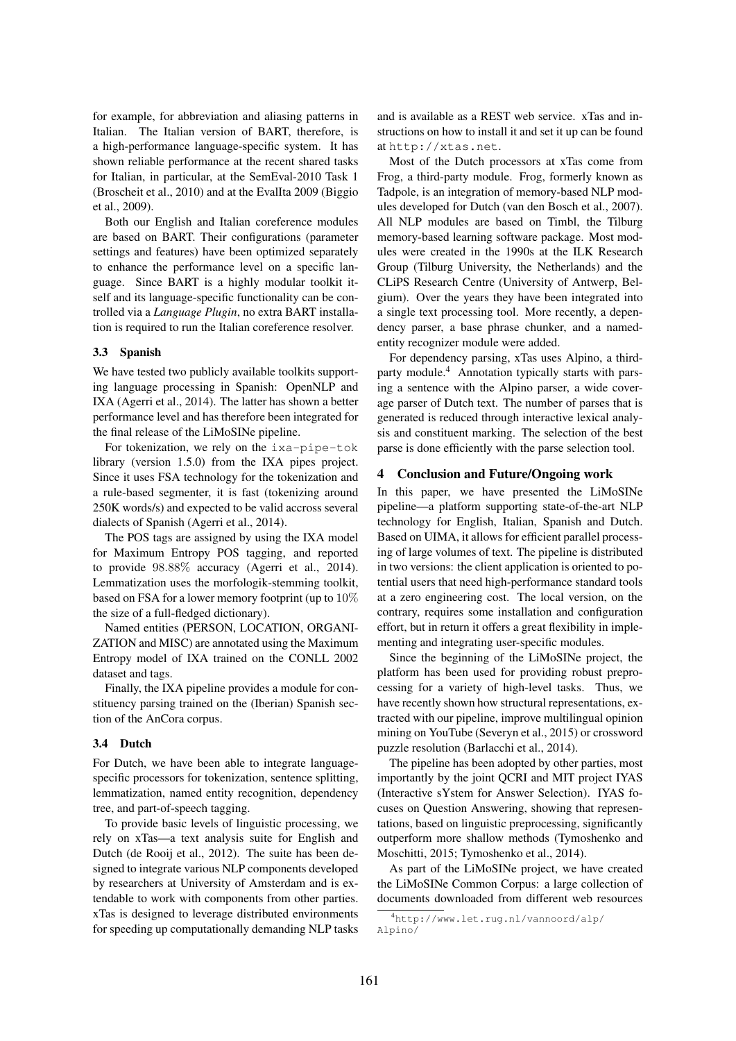for example, for abbreviation and aliasing patterns in Italian. The Italian version of BART, therefore, is a high-performance language-specific system. It has shown reliable performance at the recent shared tasks for Italian, in particular, at the SemEval-2010 Task 1 (Broscheit et al., 2010) and at the EvalIta 2009 (Biggio et al., 2009).

Both our English and Italian coreference modules are based on BART. Their configurations (parameter settings and features) have been optimized separately to enhance the performance level on a specific language. Since BART is a highly modular toolkit itself and its language-specific functionality can be controlled via a *Language Plugin*, no extra BART installation is required to run the Italian coreference resolver.

# 3.3 Spanish

We have tested two publicly available toolkits supporting language processing in Spanish: OpenNLP and IXA (Agerri et al., 2014). The latter has shown a better performance level and has therefore been integrated for the final release of the LiMoSINe pipeline.

For tokenization, we rely on the ixa-pipe-tok library (version 1.5.0) from the IXA pipes project. Since it uses FSA technology for the tokenization and a rule-based segmenter, it is fast (tokenizing around 250K words/s) and expected to be valid accross several dialects of Spanish (Agerri et al., 2014).

The POS tags are assigned by using the IXA model for Maximum Entropy POS tagging, and reported to provide 98.88% accuracy (Agerri et al., 2014). Lemmatization uses the morfologik-stemming toolkit, based on FSA for a lower memory footprint (up to 10% the size of a full-fledged dictionary).

Named entities (PERSON, LOCATION, ORGANI-ZATION and MISC) are annotated using the Maximum Entropy model of IXA trained on the CONLL 2002 dataset and tags.

Finally, the IXA pipeline provides a module for constituency parsing trained on the (Iberian) Spanish section of the AnCora corpus.

#### 3.4 Dutch

For Dutch, we have been able to integrate languagespecific processors for tokenization, sentence splitting, lemmatization, named entity recognition, dependency tree, and part-of-speech tagging.

To provide basic levels of linguistic processing, we rely on xTas—a text analysis suite for English and Dutch (de Rooij et al., 2012). The suite has been designed to integrate various NLP components developed by researchers at University of Amsterdam and is extendable to work with components from other parties. xTas is designed to leverage distributed environments for speeding up computationally demanding NLP tasks

and is available as a REST web service. xTas and instructions on how to install it and set it up can be found at http://xtas.net.

Most of the Dutch processors at xTas come from Frog, a third-party module. Frog, formerly known as Tadpole, is an integration of memory-based NLP modules developed for Dutch (van den Bosch et al., 2007). All NLP modules are based on Timbl, the Tilburg memory-based learning software package. Most modules were created in the 1990s at the ILK Research Group (Tilburg University, the Netherlands) and the CLiPS Research Centre (University of Antwerp, Belgium). Over the years they have been integrated into a single text processing tool. More recently, a dependency parser, a base phrase chunker, and a namedentity recognizer module were added.

For dependency parsing, xTas uses Alpino, a thirdparty module.<sup>4</sup> Annotation typically starts with parsing a sentence with the Alpino parser, a wide coverage parser of Dutch text. The number of parses that is generated is reduced through interactive lexical analysis and constituent marking. The selection of the best parse is done efficiently with the parse selection tool.

#### 4 Conclusion and Future/Ongoing work

In this paper, we have presented the LiMoSINe pipeline—a platform supporting state-of-the-art NLP technology for English, Italian, Spanish and Dutch. Based on UIMA, it allows for efficient parallel processing of large volumes of text. The pipeline is distributed in two versions: the client application is oriented to potential users that need high-performance standard tools at a zero engineering cost. The local version, on the contrary, requires some installation and configuration effort, but in return it offers a great flexibility in implementing and integrating user-specific modules.

Since the beginning of the LiMoSINe project, the platform has been used for providing robust preprocessing for a variety of high-level tasks. Thus, we have recently shown how structural representations, extracted with our pipeline, improve multilingual opinion mining on YouTube (Severyn et al., 2015) or crossword puzzle resolution (Barlacchi et al., 2014).

The pipeline has been adopted by other parties, most importantly by the joint QCRI and MIT project IYAS (Interactive sYstem for Answer Selection). IYAS focuses on Question Answering, showing that representations, based on linguistic preprocessing, significantly outperform more shallow methods (Tymoshenko and Moschitti, 2015; Tymoshenko et al., 2014).

As part of the LiMoSINe project, we have created the LiMoSINe Common Corpus: a large collection of documents downloaded from different web resources

<sup>4</sup>http://www.let.rug.nl/vannoord/alp/ Alpino/